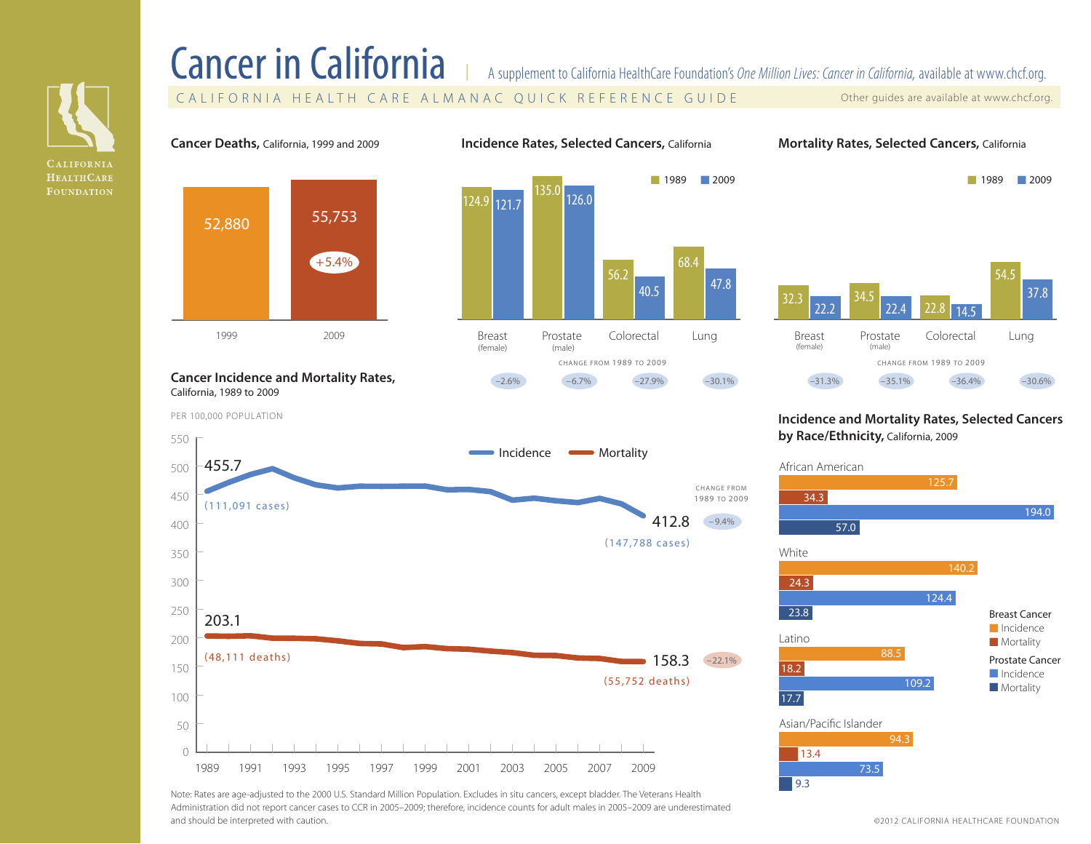

# Cancer in California | A supplement to California HealthCare Foundation's *One Million Lives: Cancer in California*, available at [www.chcf.org.](http://www.chcf.org/almanac/cost-and-quality)

CALIFORNIA HEALTH CARE ALMANAC QUICK REFERENCE GUIDE Other guides are available at [www.chcf.org.](http://www.chcf.org/almanac)

■ 1989 ■ 2009

**Cancer Deaths,** California, 1999 and 2009

**Incidence Rates, Selected Cancers,** California **Mortality Rates, Selected Cancers,** California



#### **Cancer Incidence and Mortality Rates,**  California, 1989 to 2009

PER 100,000 POPULATION





### **Incidence and Mortality Rates, Selected Cancers by Race/Ethnicity,** California, 2009



Latino White 34.3 194.0 57.0 140.2 24.3 124.4 23.8 88.5 109.2 Breast Cancer ■ Incidence ■ Mortality Prostate Cancer ■ Incidence ■ Mortality

125.7



18.2

17.7

African American

Note: Rates are age-adjusted to the 2000 U.S. Standard Million Population. Excludes in situ cancers, except bladder. The Veterans Health Administration did not report cancer cases to CCR in 2005–2009; therefore, incidence counts for adult males in 2005–2009 are underestimated and should be interpreted with caution.